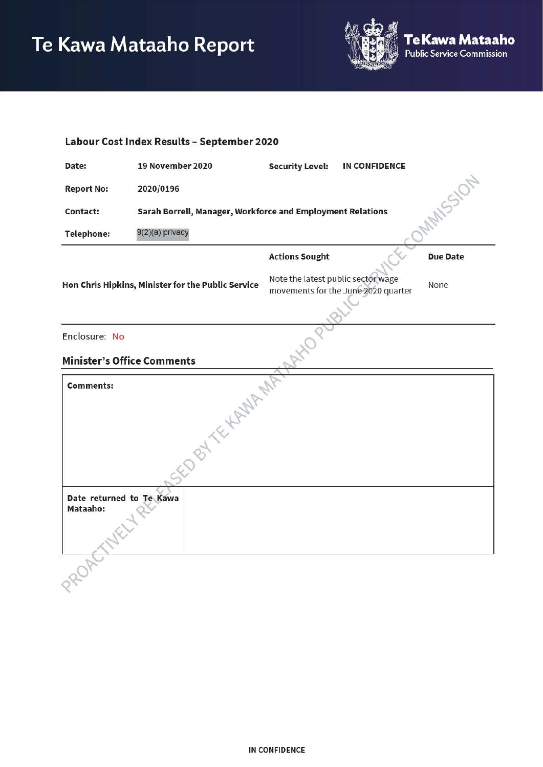

| Labour Cost Index Results - September 2020 |                                                                        |                                    |                                     |                 |
|--------------------------------------------|------------------------------------------------------------------------|------------------------------------|-------------------------------------|-----------------|
| Date:                                      | 19 November 2020                                                       | <b>Security Level:</b>             | <b>IN CONFIDENCE</b>                |                 |
| <b>Report No:</b>                          | 2020/0196                                                              |                                    |                                     |                 |
| Contact:                                   | MAMSSION<br>Sarah Borrell, Manager, Workforce and Employment Relations |                                    |                                     |                 |
| <b>Telephone:</b>                          | 9(2)(a) privacy                                                        |                                    |                                     |                 |
|                                            |                                                                        | <b>Actions Sought</b>              |                                     | <b>Due Date</b> |
|                                            | Hon Chris Hipkins, Minister for the Public Service                     | Note the latest public sector wage | movements for the June 2020 quarter | None            |
|                                            |                                                                        |                                    |                                     |                 |
| Enclosure: No                              |                                                                        |                                    |                                     |                 |
| <b>Minister's Office Comments</b>          |                                                                        |                                    |                                     |                 |
| <b>Comments:</b>                           |                                                                        |                                    |                                     |                 |
|                                            | EDBYTE KANARA                                                          |                                    |                                     |                 |
| Date returned to Te Kawa<br>Mataaho:       |                                                                        |                                    |                                     |                 |
|                                            |                                                                        |                                    |                                     |                 |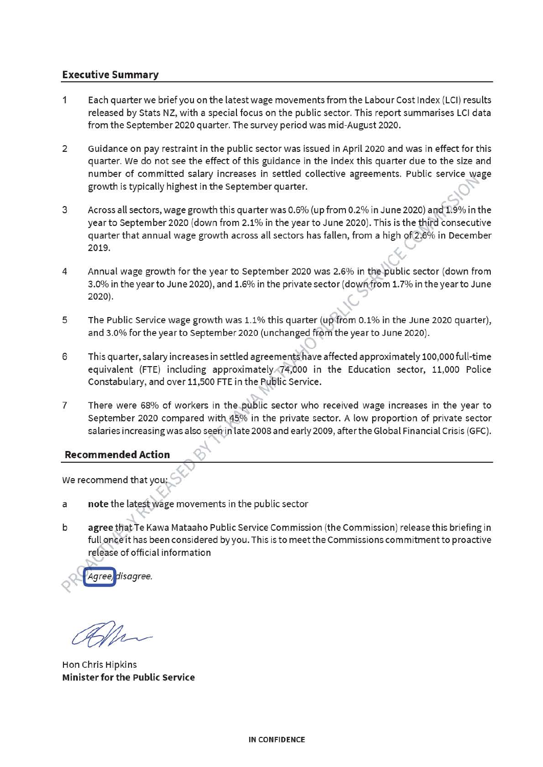# **Executive Summary**

- 1 Each quarter we brief you on the latest wage movements from the Labour Cost Index (LCI) results released by Stats NZ, with a special focus on the public sector. This report summarises LCI data from the September 2020 quarter. The survey period was mid-August 2020.
- 2 Guidance on pay restraint in the public sector was issued in April 2020 and was in effect for this quarter. We do not see the effect of this guidance in the index this quarter due to the size and number of committed salary increases in settled collective agreements. Public service wage growth is typically highest in the September quarter.
- *<sup>r</sup>*3 Across all sectors, wage growth this quarter was 0.6% (up from 0.2% in June 2020) and 1.9% in the year to September 2020 (down from 2.1 % in the year to June 2020). This is the third consecutive quarter that annual wage growth across all sectors has fallen, from a high of 2.6% in December 2019.
- 4 Annual wage growth for the year to September 2020 was 2.6% in the public sector (down from 3.0% in the year to June 2020), and 1.6% in the private sector (down from 1.7% in the year to June **2020).**
- 5 The Public Service wage growth was  $1.1\%$  this quarter (up from 0.1% in the June 2020 quarter), and 3.0% for the year to September 2020 (unchanged from the year to June 2020).
- 6 This quarter, salary increases in settled agreements have affected approximately 100,000 full-time equivalent **{FTE)** including approximately 74,000 in the Education sector, 11,000 Police Constabulary, and over 11,500 **FTE** in the Public Service.
- 7 There were 68% of workers in the public sector who received wage increases in the year to September 2020 compared with 45% in the private sector. A low proportion of private sector salaries increasing was also seen in late 2008 and early 2009, after the Global Financial Crisis {GFC).

# **Recommended Action** ~

We recommend that you

- a **note** the latest wage movements in the public sector
- b **agree** that Te Kawa Mataaho Public Service Commission (the Commission) release this briefing in full once it has been considered by you. This is to meet the Commissions commitment to proactive release of official information

~ **disaaree.** 

Hon Chris Hipkins **Minister for the Public Service**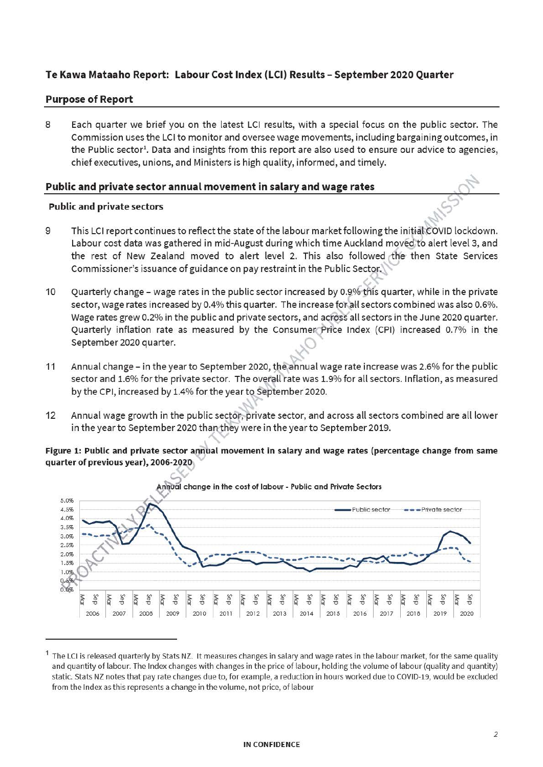# **Te Kawa Mataaho Report: Labour Cost Index (LCI) Results** - **September 2020 Quarter**

### **Purpose of Report**

8 Each quarter we brief you on the latest LCI results, with a special focus on the public sector. The Commission uses the LCI to monitor and oversee wage movements, including bargaining outcomes, in the Public sector<sup>1</sup>. Data and insights from this report are also used to ensure our advice to agencies, chief executives, unions, and Ministers is high quality, informed, and timely.

### **Public and private sector annual movement in salary and wage rates**

#### **Public and private sectors**

- 9 This LCI report continues to reflect the state of the labour market following the initial COVID lockdown. Labour cost data was gathered in mid-August during which time Auckland moved to alert level 3, and the rest of New Zealand moved to alert level 2. This also followed the then State Services Commissioner's issuance of guidance on pay restraint in the Public Sector.
- 10 Quarterly change wage rates in the public sector increased by 0.9% this quarter, while in the private sector, wage rates increased by 0.4% this quarter. The increase for all sectors combined was also 0.6%. Wage rates grew 0.2% in the public and private sectors, and across all sectors in the June 2020 quarter. Quarterly inflation rate as measured by the Consumer Price Index {CPI) increased 0.7% in the September 2020 quarter.
- 11 Annual change in the year to September 2020, the annual wage rate increase was 2.6% for the public sector and 1.6% for the private sector. The overall rate was 1.9% for all sectors. Inflation, as measured by the CPI, increased by 1.4% for the year to September 2020.
- 12 Annual wage growth in the public sector, private sector, and across all sectors combined are all lower in the year to September 2020 than they were in the year to September 2019.

#### **Figure 1: Public and private sector annual movement in salary and wage rates (percentage change from same quarter of previous year), 2006-2020**



The LCI is released quarterly by Stats NZ. It measures changes in salary and wage rates in the labour market, for the same quality and quantity of labour. The Index changes with changes in the price of labour, holding the volume of labour (quality and quantity) static. Stats NZ notes that pay rate changes due to, for example, a reduction in hours worked due to COVID-19, would be excluded from the Index as this represents a change in the volume, not price, of labour

#### **IN CONFIDENCE**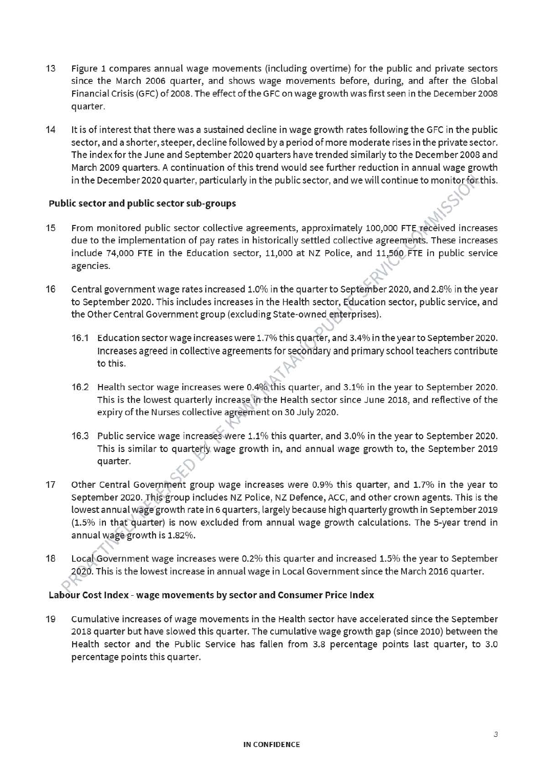- 13 Figure 1 compares annual wage movements (including overtime) for the public and private sectors since the March 2006 quarter, and shows wage movements before, during, and after the Global Financial Crisis (GFC) of 2008. The effect of the GFC on wage growth was first seen in the December 2008 quarter.
- 14 It is of interest that there was a sustained decline in wage growth rates following the GFC in the public sector, and a shorter, steeper, decline followed by a period of more moderate rises in the private sector. The index for the June and September 2020 quarters have trended similarly to the December 2008 and March 2009 quarters. A continuation of this trend would see further reduction in annual wage growth in the December 2020 quarter, particularly in the public sector, and we will continue to monitor for this.

## **Public sector and public sector sub-groups**

- 15 From monitored public sector collective agreements, approximately 100,000 FTE received increases due to the implementation of pay rates in historically settled collective agreements. These increases include 74,000 FTE in the Education sector, 11,000 at NZ Police, and 11,500 FTE in public service agencies.
- 16 Central government wage rates increased 1.0% in the quarter to September 2020, and 2.8% in the year to September 2020. This includes increases in the Health sector, Education sector, public service, and the Other Central Government group (excluding State-owned enterprises).
	- 16.1 Education sector wage increases were 1. 7% this quarter, and 3.4% in the year to September 2020. Increases agreed in collective agreements for secondary and primary school teachers contribute to this.
	- 16.2 Health sector wage increases were 0.4% this quarter, and 3.1% in the year to September 2020. This is the lowest quarterly increase in the Health sector since June 2018, and reflective of the expiry of the Nurses collective agreement on 30 July 2020.
	- 16.3 Public service wage increases were 1.1% this quarter, and 3.0% in the year to September 2020. This is similar to quarterly wage growth in, and annual wage growth to, the September 2019 quarter.
- 17 Other Central Government group wage increases were 0.9% this quarter, and 1.7% in the year to September 2020. This group includes NZ Police, NZ Defence, ACC, and other crown agents. This is the lowest annual wage growth rate in 6 quarters, largely because high quarterly growth in September 2019  $(1.5\%$  in that quarter) is now excluded from annual wage growth calculations. The 5-year trend in annual wage growth is 1.82%.
- 18 Local Government wage increases were 0.2% this quarter and increased 1.5% the year to September 2020. This is the lowest increase in annual wage in Local Government since the March 2016 quarter.

#### **Labour Cost Index** - **wage movements by sector and Consumer Price Index**

19 Cumulative increases of wage movements in the Health sector have accelerated since the September 2018 quarter but have slowed this quarter. The cumulative wage growth gap (since 2010) between the Health sector and the Public Service has fallen from 3.8 percentage points last quarter, to 3.0 percentage points this quarter.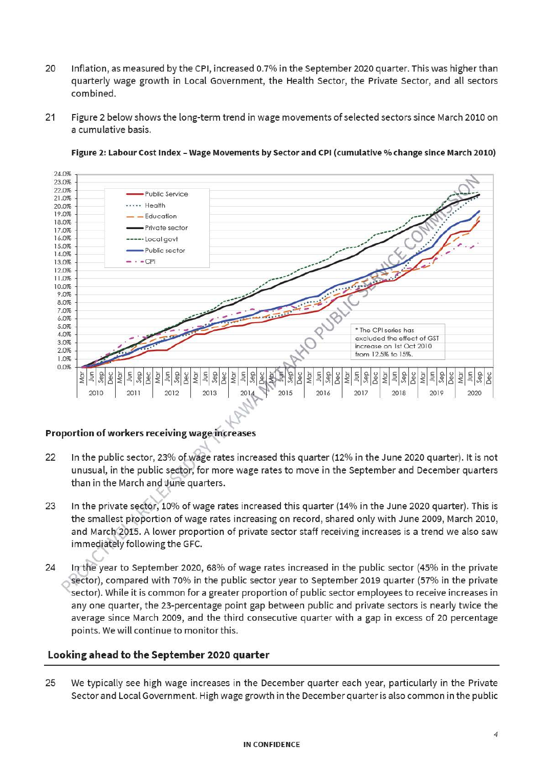- 20 Inflation, as measured by the CPI, increased 0.7% in the September 2020 quarter. This was higher than quarterly wage growth in Local Government, the Health Sector, the Private Sector, and all sectors combined.
- 21 Figure 2 below shows the long-term trend in wage movements of selected sectors since March 2010 on a cumulative basis.



#### **Figure 2: Labour Cost Index** - **Wage Movements by Sector and CPI (cumulative% change since March 2010)**

## **Proportion of workers receiving wage increases**

- 22 In the public sector, 23% of wage rates increased this quarter (12% in the June 2020 quarter). It is not unusual, in the public sector, for more wage rates to move in the September and December quarters than in the March and June quarters.
- 23 In the private sector, 10% of wage rates increased this quarter (14% in the June 2020 quarter). This is the smallest proportion of wage rates increasing on record, shared only with June 2009, March 2010, and March 2015. A lower proportion of private sector staff receiving increases is a trend we also saw immediately following the GFC.
- 24 In the year to September 2020, 68% of wage rates increased in the public sector (45% in the private sector), compared with 70% in the public sector year to September 2019 quarter (57% in the private sector). While it is common for a greater proportion of public sector employees to receive increases in any one quarter, the 23-percentage point gap between public and private sectors is nearly twice the average since March 2009, and the third consecutive quarter with a gap in excess of 20 percentage points. We will continue to monitor this.

## **Looking ahead to the September 2020 quarter**

25 We typically see high wage increases in the December quarter each year, particularly in the Private Sector and Local Government. High wage growth in the December quarter is also common in the public

#### **IN CONFIDENCE**